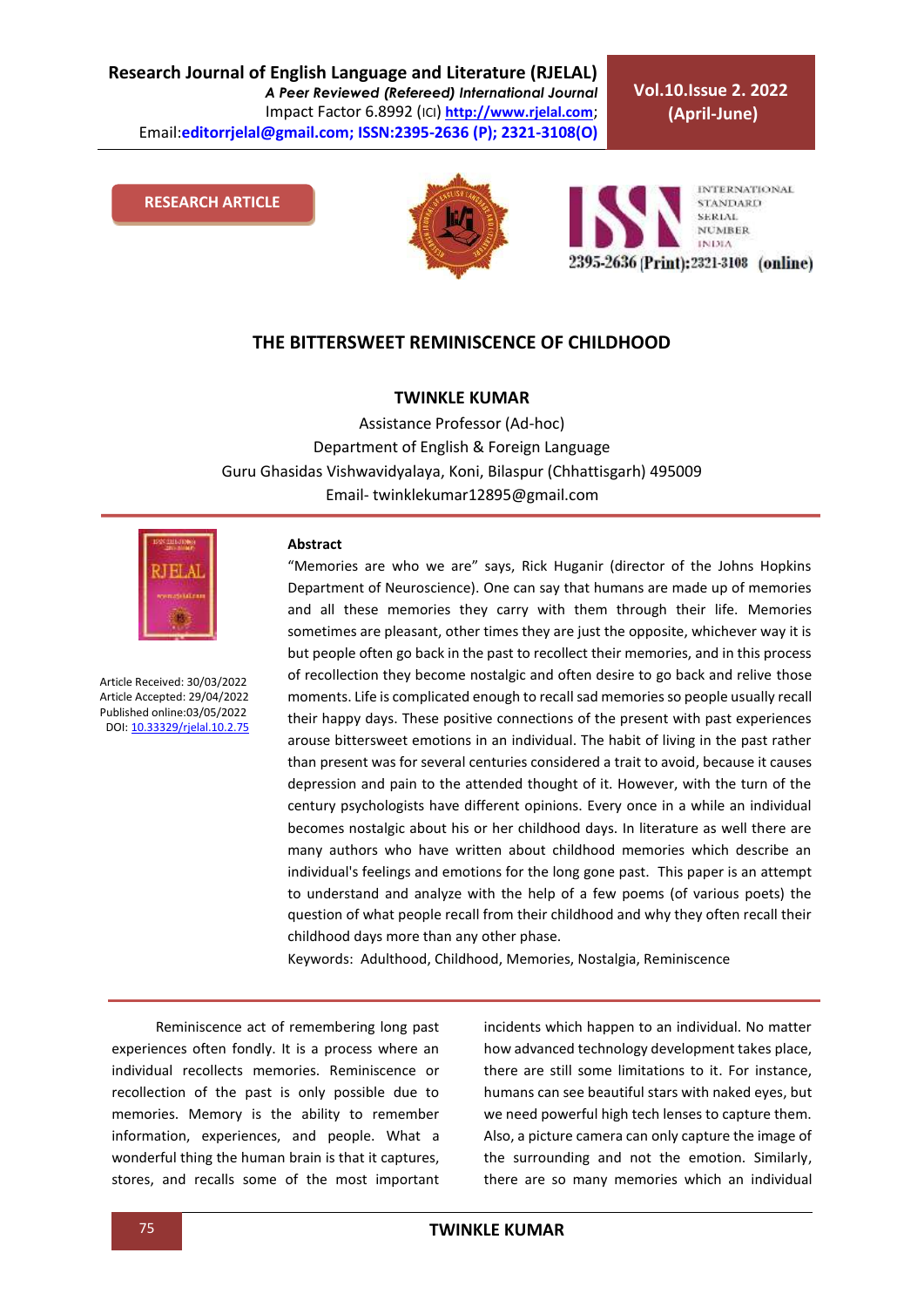**Vol.10.Issue 2. 2022 (April-June)**

#### **RESEARCH ARTICLE**





## **THE BITTERSWEET REMINISCENCE OF CHILDHOOD**

### **TWINKLE KUMAR**

Assistance Professor (Ad-hoc) Department of English & Foreign Language Guru Ghasidas Vishwavidyalaya, Koni, Bilaspur (Chhattisgarh) 495009 Email- [twinklekumar12895@gmail.com](mailto:twinklekumar12895@gmail.com)



Article Received: 30/03/2022 Article Accepted: 29/04/2022 Published online:03/05/2022 DOI[: 10.33329/rjelal.10.2.7](http://www.rjelal.com/)5

#### **Abstract**

"Memories are who we are" says, Rick Huganir (director of the Johns Hopkins Department of Neuroscience). One can say that humans are made up of memories and all these memories they carry with them through their life. Memories sometimes are pleasant, other times they are just the opposite, whichever way it is but people often go back in the past to recollect their memories, and in this process of recollection they become nostalgic and often desire to go back and relive those moments. Life is complicated enough to recall sad memories so people usually recall their happy days. These positive connections of the present with past experiences arouse bittersweet emotions in an individual. The habit of living in the past rather than present was for several centuries considered a trait to avoid, because it causes depression and pain to the attended thought of it. However, with the turn of the century psychologists have different opinions. Every once in a while an individual becomes nostalgic about his or her childhood days. In literature as well there are many authors who have written about childhood memories which describe an individual's feelings and emotions for the long gone past. This paper is an attempt to understand and analyze with the help of a few poems (of various poets) the question of what people recall from their childhood and why they often recall their childhood days more than any other phase.

Keywords: Adulthood, Childhood, Memories, Nostalgia, Reminiscence

Reminiscence act of remembering long past experiences often fondly. It is a process where an individual recollects memories. Reminiscence or recollection of the past is only possible due to memories. Memory is the ability to remember information, experiences, and people. What a wonderful thing the human brain is that it captures, stores, and recalls some of the most important incidents which happen to an individual. No matter how advanced technology development takes place, there are still some limitations to it. For instance, humans can see beautiful stars with naked eyes, but we need powerful high tech lenses to capture them. Also, a picture camera can only capture the image of the surrounding and not the emotion. Similarly, there are so many memories which an individual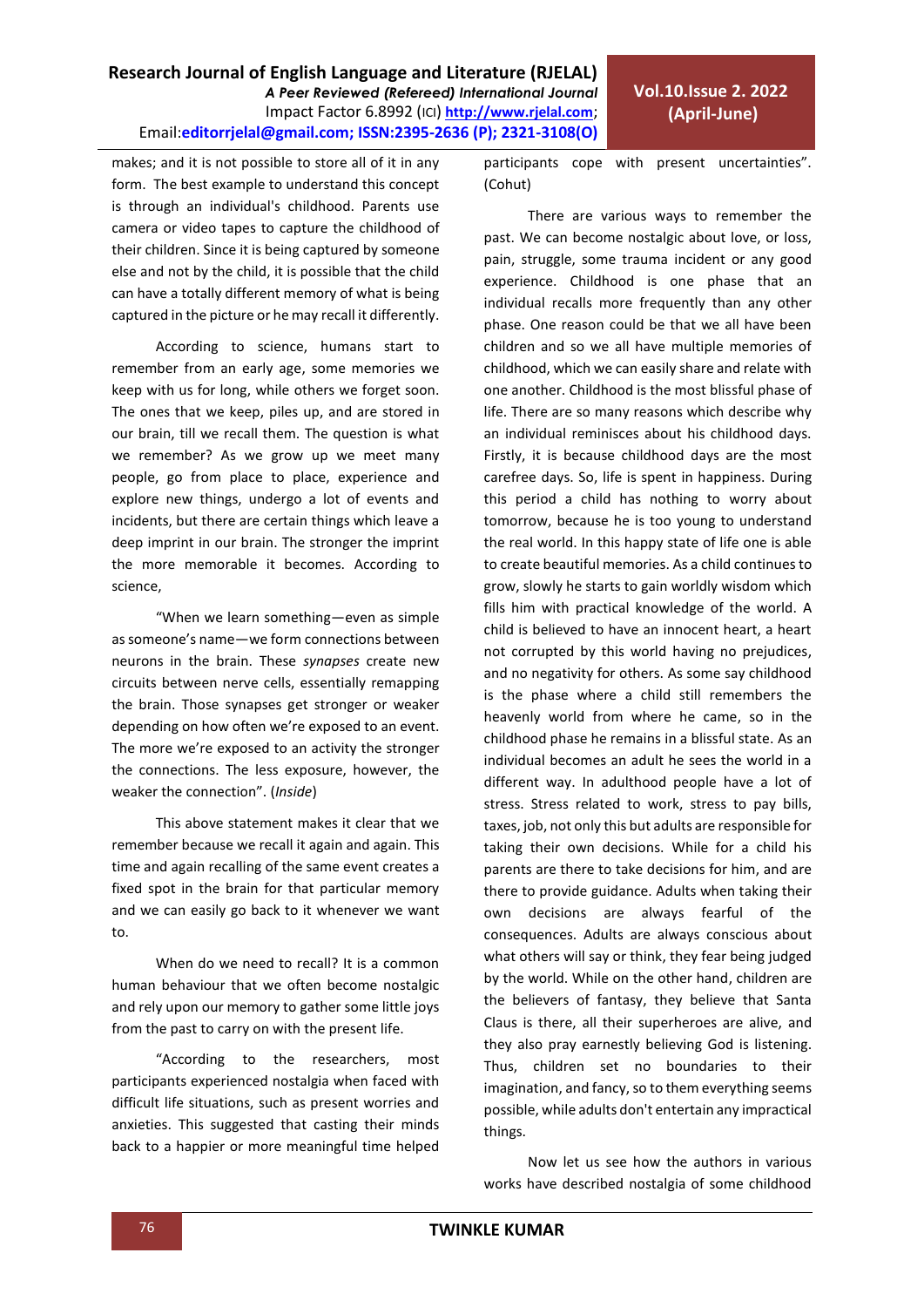makes; and it is not possible to store all of it in any form. The best example to understand this concept is through an individual's childhood. Parents use camera or video tapes to capture the childhood of their children. Since it is being captured by someone else and not by the child, it is possible that the child can have a totally different memory of what is being captured in the picture or he may recall it differently.

According to science, humans start to remember from an early age, some memories we keep with us for long, while others we forget soon. The ones that we keep, piles up, and are stored in our brain, till we recall them. The question is what we remember? As we grow up we meet many people, go from place to place, experience and explore new things, undergo a lot of events and incidents, but there are certain things which leave a deep imprint in our brain. The stronger the imprint the more memorable it becomes. According to science,

"When we learn something—even as simple as someone's name—we form connections between neurons in the brain. These *synapses* create new circuits between nerve cells, essentially remapping the brain. Those synapses get stronger or weaker depending on how often we're exposed to an event. The more we're exposed to an activity the stronger the connections. The less exposure, however, the weaker the connection". (*Inside*)

This above statement makes it clear that we remember because we recall it again and again. This time and again recalling of the same event creates a fixed spot in the brain for that particular memory and we can easily go back to it whenever we want to.

When do we need to recall? It is a common human behaviour that we often become nostalgic and rely upon our memory to gather some little joys from the past to carry on with the present life.

"According to the researchers, most participants experienced nostalgia when faced with difficult life situations, such as present worries and anxieties. This suggested that casting their minds back to a happier or more meaningful time helped participants cope with present uncertainties". (Cohut)

There are various ways to remember the past. We can become nostalgic about love, or loss, pain, struggle, some trauma incident or any good experience. Childhood is one phase that an individual recalls more frequently than any other phase. One reason could be that we all have been children and so we all have multiple memories of childhood, which we can easily share and relate with one another. Childhood is the most blissful phase of life. There are so many reasons which describe why an individual reminisces about his childhood days. Firstly, it is because childhood days are the most carefree days. So, life is spent in happiness. During this period a child has nothing to worry about tomorrow, because he is too young to understand the real world. In this happy state of life one is able to create beautiful memories. As a child continues to grow, slowly he starts to gain worldly wisdom which fills him with practical knowledge of the world. A child is believed to have an innocent heart, a heart not corrupted by this world having no prejudices, and no negativity for others. As some say childhood is the phase where a child still remembers the heavenly world from where he came, so in the childhood phase he remains in a blissful state. As an individual becomes an adult he sees the world in a different way. In adulthood people have a lot of stress. Stress related to work, stress to pay bills, taxes, job, not only this but adults are responsible for taking their own decisions. While for a child his parents are there to take decisions for him, and are there to provide guidance. Adults when taking their own decisions are always fearful of the consequences. Adults are always conscious about what others will say or think, they fear being judged by the world. While on the other hand, children are the believers of fantasy, they believe that Santa Claus is there, all their superheroes are alive, and they also pray earnestly believing God is listening. Thus, children set no boundaries to their imagination, and fancy, so to them everything seems possible, while adults don't entertain any impractical things.

Now let us see how the authors in various works have described nostalgia of some childhood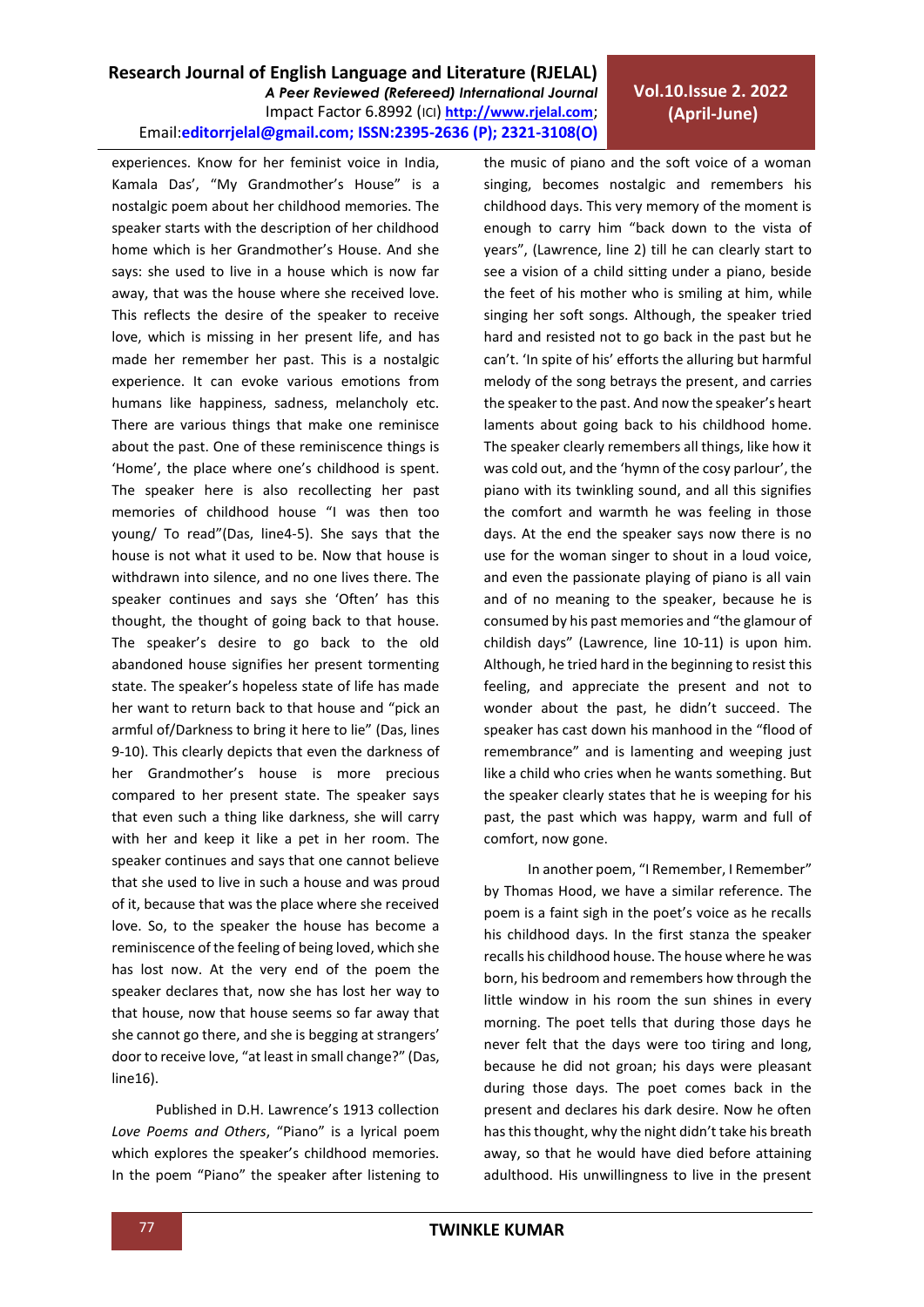# **Vol.10.Issue 2. 2022 (April-June)**

experiences. Know for her feminist voice in India, Kamala Das', "My Grandmother's House" is a nostalgic poem about her childhood memories. The speaker starts with the description of her childhood home which is her Grandmother's House. And she says: she used to live in a house which is now far away, that was the house where she received love. This reflects the desire of the speaker to receive love, which is missing in her present life, and has made her remember her past. This is a nostalgic experience. It can evoke various emotions from humans like happiness, sadness, melancholy etc. There are various things that make one reminisce about the past. One of these reminiscence things is 'Home', the place where one's childhood is spent. The speaker here is also recollecting her past memories of childhood house "I was then too young/ To read"(Das, line4-5). She says that the house is not what it used to be. Now that house is withdrawn into silence, and no one lives there. The speaker continues and says she 'Often' has this thought, the thought of going back to that house. The speaker's desire to go back to the old abandoned house signifies her present tormenting state. The speaker's hopeless state of life has made her want to return back to that house and "pick an armful of/Darkness to bring it here to lie" (Das, lines 9-10). This clearly depicts that even the darkness of her Grandmother's house is more precious compared to her present state. The speaker says that even such a thing like darkness, she will carry with her and keep it like a pet in her room. The speaker continues and says that one cannot believe that she used to live in such a house and was proud of it, because that was the place where she received love. So, to the speaker the house has become a reminiscence of the feeling of being loved, which she has lost now. At the very end of the poem the speaker declares that, now she has lost her way to that house, now that house seems so far away that she cannot go there, and she is begging at strangers' door to receive love, "at least in small change?" (Das, line16).

Published in D.H. Lawrence's 1913 collection *Love Poems and Others*, "Piano" is a lyrical poem which explores the speaker's childhood memories. In the poem "Piano" the speaker after listening to

the music of piano and the soft voice of a woman singing, becomes nostalgic and remembers his childhood days. This very memory of the moment is enough to carry him "back down to the vista of years", (Lawrence, line 2) till he can clearly start to see a vision of a child sitting under a piano, beside the feet of his mother who is smiling at him, while singing her soft songs. Although, the speaker tried hard and resisted not to go back in the past but he can't. 'In spite of his' efforts the alluring but harmful melody of the song betrays the present, and carries the speaker to the past. And now the speaker's heart laments about going back to his childhood home. The speaker clearly remembers all things, like how it was cold out, and the 'hymn of the cosy parlour', the piano with its twinkling sound, and all this signifies the comfort and warmth he was feeling in those days. At the end the speaker says now there is no use for the woman singer to shout in a loud voice, and even the passionate playing of piano is all vain and of no meaning to the speaker, because he is consumed by his past memories and "the glamour of childish days" (Lawrence, line 10-11) is upon him. Although, he tried hard in the beginning to resist this feeling, and appreciate the present and not to wonder about the past, he didn't succeed. The speaker has cast down his manhood in the "flood of remembrance" and is lamenting and weeping just like a child who cries when he wants something. But the speaker clearly states that he is weeping for his past, the past which was happy, warm and full of comfort, now gone.

In another poem, "I Remember, I Remember" by Thomas Hood, we have a similar reference. The poem is a faint sigh in the poet's voice as he recalls his childhood days. In the first stanza the speaker recalls his childhood house. The house where he was born, his bedroom and remembers how through the little window in his room the sun shines in every morning. The poet tells that during those days he never felt that the days were too tiring and long, because he did not groan; his days were pleasant during those days. The poet comes back in the present and declares his dark desire. Now he often has this thought, why the night didn't take his breath away, so that he would have died before attaining adulthood. His unwillingness to live in the present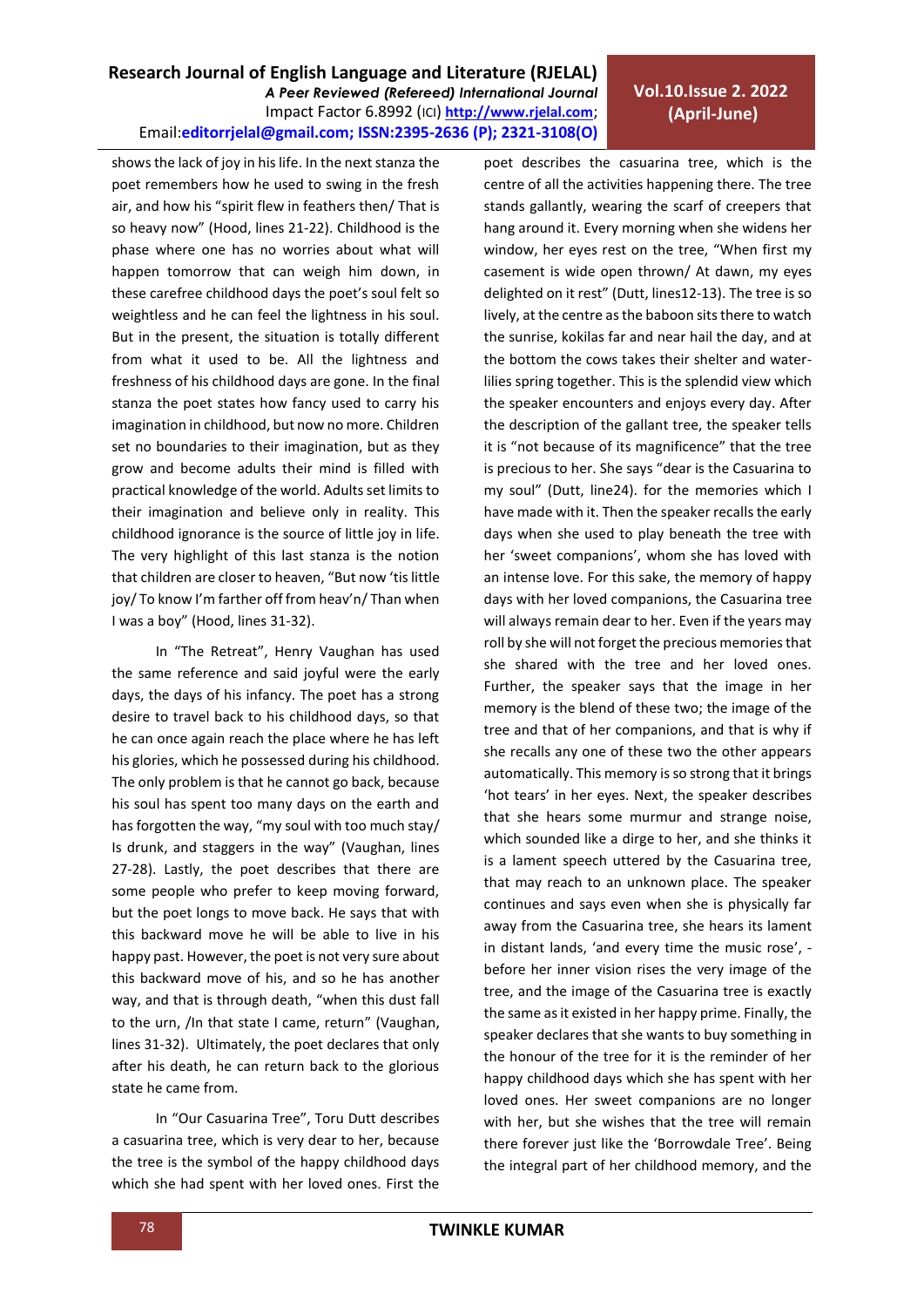# **Vol.10.Issue 2. 2022 (April-June)**

shows the lack of joy in his life. In the next stanza the poet remembers how he used to swing in the fresh air, and how his "spirit flew in feathers then/ That is so heavy now" (Hood, lines 21-22). Childhood is the phase where one has no worries about what will happen tomorrow that can weigh him down, in these carefree childhood days the poet's soul felt so weightless and he can feel the lightness in his soul. But in the present, the situation is totally different from what it used to be. All the lightness and freshness of his childhood days are gone. In the final stanza the poet states how fancy used to carry his imagination in childhood, but now no more. Children set no boundaries to their imagination, but as they grow and become adults their mind is filled with practical knowledge of the world. Adults set limits to their imagination and believe only in reality. This childhood ignorance is the source of little joy in life. The very highlight of this last stanza is the notion that children are closer to heaven, "But now 'tis little joy/ To know I'm farther off from heav'n/ Than when I was a boy" (Hood, lines 31-32).

In "The Retreat", Henry Vaughan has used the same reference and said joyful were the early days, the days of his infancy. The poet has a strong desire to travel back to his childhood days, so that he can once again reach the place where he has left his glories, which he possessed during his childhood. The only problem is that he cannot go back, because his soul has spent too many days on the earth and has forgotten the way, "my soul with too much stay/ Is drunk, and staggers in the way" (Vaughan, lines 27-28). Lastly, the poet describes that there are some people who prefer to keep moving forward, but the poet longs to move back. He says that with this backward move he will be able to live in his happy past. However, the poet is not very sure about this backward move of his, and so he has another way, and that is through death, "when this dust fall to the urn, /In that state I came, return" (Vaughan, lines 31-32). Ultimately, the poet declares that only after his death, he can return back to the glorious state he came from.

In "Our Casuarina Tree", Toru Dutt describes a casuarina tree, which is very dear to her, because the tree is the symbol of the happy childhood days which she had spent with her loved ones. First the poet describes the casuarina tree, which is the centre of all the activities happening there. The tree stands gallantly, wearing the scarf of creepers that hang around it. Every morning when she widens her window, her eyes rest on the tree, "When first my casement is wide open thrown/ At dawn, my eyes delighted on it rest" (Dutt, lines12-13). The tree is so lively, at the centre as the baboon sits there to watch the sunrise, kokilas far and near hail the day, and at the bottom the cows takes their shelter and waterlilies spring together. This is the splendid view which the speaker encounters and enjoys every day. After the description of the gallant tree, the speaker tells it is "not because of its magnificence" that the tree is precious to her. She says "dear is the Casuarina to my soul" (Dutt, line24). for the memories which I have made with it. Then the speaker recalls the early days when she used to play beneath the tree with her 'sweet companions', whom she has loved with an intense love. For this sake, the memory of happy days with her loved companions, the Casuarina tree will always remain dear to her. Even if the years may roll by she will not forget the precious memories that she shared with the tree and her loved ones. Further, the speaker says that the image in her memory is the blend of these two; the image of the tree and that of her companions, and that is why if she recalls any one of these two the other appears automatically. This memory is so strong that it brings 'hot tears' in her eyes. Next, the speaker describes that she hears some murmur and strange noise, which sounded like a dirge to her, and she thinks it is a lament speech uttered by the Casuarina tree, that may reach to an unknown place. The speaker continues and says even when she is physically far away from the Casuarina tree, she hears its lament in distant lands, 'and every time the music rose', before her inner vision rises the very image of the tree, and the image of the Casuarina tree is exactly the same as it existed in her happy prime. Finally, the speaker declares that she wants to buy something in the honour of the tree for it is the reminder of her happy childhood days which she has spent with her loved ones. Her sweet companions are no longer with her, but she wishes that the tree will remain there forever just like the 'Borrowdale Tree'. Being the integral part of her childhood memory, and the